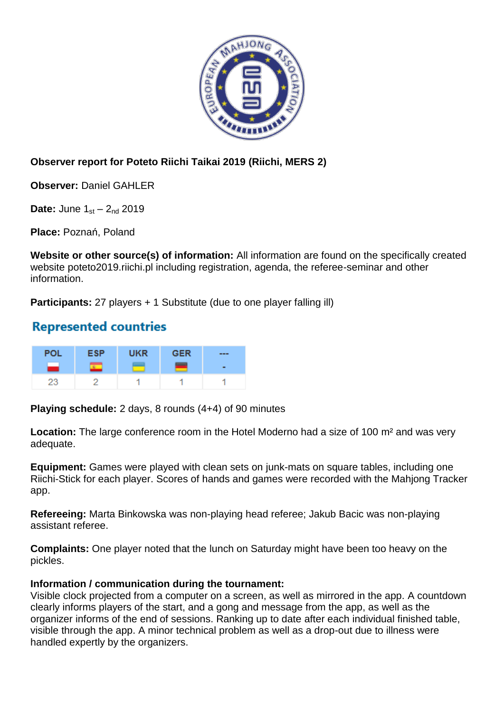

## **Observer report for Poteto Riichi Taikai 2019 (Riichi, MERS 2)**

**Observer:** Daniel GAHLER

**Date:** June  $1_{st} - 2_{nd}$  2019

**Place:** Poznań, Poland

**Website or other source(s) of information:** All information are found on the specifically created website poteto2019.riichi.pl including registration, agenda, the referee-seminar and other information.

**Participants:** 27 players + 1 Substitute (due to one player falling ill)

## **Represented countries**

| <b>POL</b> | <b>ESP</b> | <b>UKR</b> | <b>GER</b> | --- |
|------------|------------|------------|------------|-----|
|            |            |            |            |     |
| 23         |            |            |            |     |

**Playing schedule:** 2 days, 8 rounds (4+4) of 90 minutes

Location: The large conference room in the Hotel Moderno had a size of 100 m<sup>2</sup> and was very adequate.

**Equipment:** Games were played with clean sets on junk-mats on square tables, including one Riichi-Stick for each player. Scores of hands and games were recorded with the Mahjong Tracker app.

**Refereeing:** Marta Binkowska was non-playing head referee; Jakub Bacic was non-playing assistant referee.

**Complaints:** One player noted that the lunch on Saturday might have been too heavy on the pickles.

## **Information / communication during the tournament:**

Visible clock projected from a computer on a screen, as well as mirrored in the app. A countdown clearly informs players of the start, and a gong and message from the app, as well as the organizer informs of the end of sessions. Ranking up to date after each individual finished table, visible through the app. A minor technical problem as well as a drop-out due to illness were handled expertly by the organizers.